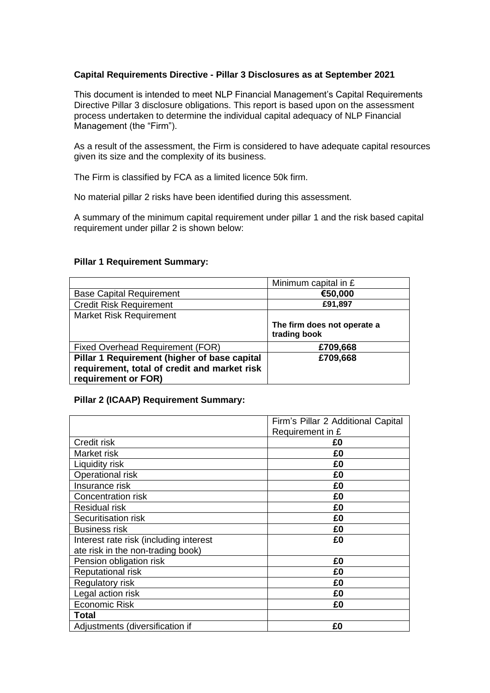# **Capital Requirements Directive - Pillar 3 Disclosures as at September 2021**

This document is intended to meet NLP Financial Management's Capital Requirements Directive Pillar 3 disclosure obligations. This report is based upon on the assessment process undertaken to determine the individual capital adequacy of NLP Financial Management (the "Firm").

As a result of the assessment, the Firm is considered to have adequate capital resources given its size and the complexity of its business.

The Firm is classified by FCA as a limited licence 50k firm.

No material pillar 2 risks have been identified during this assessment.

A summary of the minimum capital requirement under pillar 1 and the risk based capital requirement under pillar 2 is shown below:

#### **Pillar 1 Requirement Summary:**

|                                                                                                                     | Minimum capital in £                        |
|---------------------------------------------------------------------------------------------------------------------|---------------------------------------------|
| <b>Base Capital Requirement</b>                                                                                     | €50,000                                     |
| <b>Credit Risk Requirement</b>                                                                                      | £91,897                                     |
| <b>Market Risk Requirement</b>                                                                                      |                                             |
|                                                                                                                     | The firm does not operate a<br>trading book |
| Fixed Overhead Requirement (FOR)                                                                                    | £709,668                                    |
| Pillar 1 Requirement (higher of base capital<br>requirement, total of credit and market risk<br>requirement or FOR) | £709,668                                    |

### **Pillar 2 (ICAAP) Requirement Summary:**

|                                        | Firm's Pillar 2 Additional Capital |
|----------------------------------------|------------------------------------|
|                                        | Requirement in £                   |
| Credit risk                            | £Ο                                 |
| Market risk                            | £0                                 |
| Liquidity risk                         | £0                                 |
| Operational risk                       | £0                                 |
| Insurance risk                         | £0                                 |
| Concentration risk                     | £0                                 |
| Residual risk                          | £0                                 |
| Securitisation risk                    | £0                                 |
| <b>Business risk</b>                   | £0                                 |
| Interest rate risk (including interest | £0                                 |
| ate risk in the non-trading book)      |                                    |
| Pension obligation risk                | £0                                 |
| Reputational risk                      | £0                                 |
| Regulatory risk                        | £0                                 |
| Legal action risk                      | £0                                 |
| <b>Economic Risk</b>                   | £0                                 |
| Total                                  |                                    |
| Adjustments (diversification if        | £0                                 |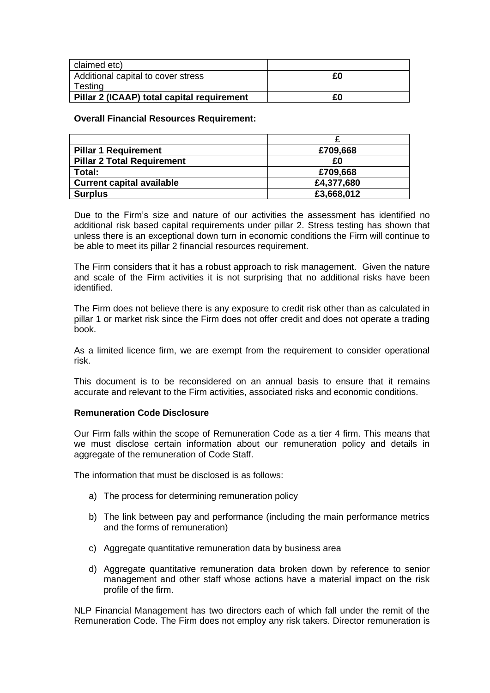| claimed etc)                               |    |
|--------------------------------------------|----|
| Additional capital to cover stress         | £Ο |
| Testing                                    |    |
| Pillar 2 (ICAAP) total capital requirement | £Ο |

## **Overall Financial Resources Requirement:**

| <b>Pillar 1 Requirement</b>       | £709,668   |
|-----------------------------------|------------|
| <b>Pillar 2 Total Requirement</b> | £Ο         |
| Total:                            | £709,668   |
| <b>Current capital available</b>  | £4,377,680 |
| <b>Surplus</b>                    | £3,668,012 |

Due to the Firm's size and nature of our activities the assessment has identified no additional risk based capital requirements under pillar 2. Stress testing has shown that unless there is an exceptional down turn in economic conditions the Firm will continue to be able to meet its pillar 2 financial resources requirement.

The Firm considers that it has a robust approach to risk management. Given the nature and scale of the Firm activities it is not surprising that no additional risks have been identified.

The Firm does not believe there is any exposure to credit risk other than as calculated in pillar 1 or market risk since the Firm does not offer credit and does not operate a trading book.

As a limited licence firm, we are exempt from the requirement to consider operational risk.

This document is to be reconsidered on an annual basis to ensure that it remains accurate and relevant to the Firm activities, associated risks and economic conditions.

### **Remuneration Code Disclosure**

Our Firm falls within the scope of Remuneration Code as a tier 4 firm. This means that we must disclose certain information about our remuneration policy and details in aggregate of the remuneration of Code Staff.

The information that must be disclosed is as follows:

- a) The process for determining remuneration policy
- b) The link between pay and performance (including the main performance metrics and the forms of remuneration)
- c) Aggregate quantitative remuneration data by business area
- d) Aggregate quantitative remuneration data broken down by reference to senior management and other staff whose actions have a material impact on the risk profile of the firm.

NLP Financial Management has two directors each of which fall under the remit of the Remuneration Code. The Firm does not employ any risk takers. Director remuneration is